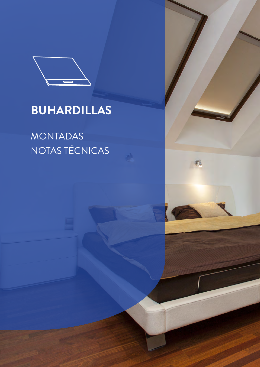# **BUHARDILLAS**

MONTADAS NOTAS TÉCNICAS

GI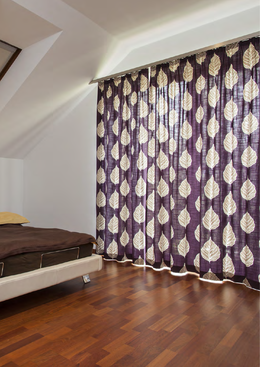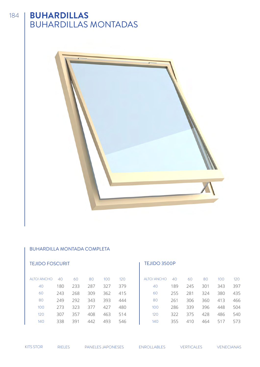# BUHARDILLAS MONTADAS 184 | BUHARDILLAS



### BUHARDILLA MONTADA COMPLETA

### TEJIDO FOSCURIT TEJIDO 3500P

| <b>ALTO/ANCHO</b> | 40  | 60  | 80  | 100 | 120 |
|-------------------|-----|-----|-----|-----|-----|
| 40                | 180 | 233 | 287 | 327 | 379 |
| 60                | 243 | 268 | 309 | 362 | 415 |
| 80                | 249 | 292 | 343 | 393 | 444 |
| 100               | 273 | 323 | 377 | 427 | 480 |
| 120               | 307 | 357 | 408 | 463 | 514 |
| 140               | 338 | 391 | 442 | 493 | 546 |

| <b>ALTO/ ANCHO</b> | 40  | 60  | 80  | 100 | 120 |
|--------------------|-----|-----|-----|-----|-----|
| 40                 | 189 | 245 | 301 | 343 | 397 |
| 60                 | 255 | 281 | 324 | 380 | 435 |
| 80                 | 261 | 306 | 360 | 413 | 466 |
| 100                | 286 | 339 | 396 | 448 | 504 |
| 120                | 322 | 375 | 428 | 486 | 540 |
| 140                | 355 | 410 | 464 | 517 | 573 |
|                    |     |     |     |     |     |

KITS STOR RIELES PANELES JAPONESES ENROLLABLES VERTICALES VENECIANAS